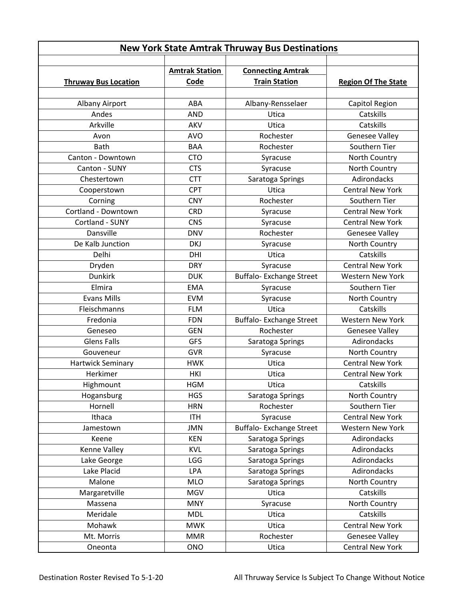| <b>New York State Amtrak Thruway Bus Destinations</b> |                               |                                                  |                            |  |
|-------------------------------------------------------|-------------------------------|--------------------------------------------------|----------------------------|--|
| <b>Thruway Bus Location</b>                           | <b>Amtrak Station</b><br>Code | <b>Connecting Amtrak</b><br><b>Train Station</b> | <b>Region Of The State</b> |  |
| Albany Airport                                        | ABA                           | Albany-Rensselaer                                | Capitol Region             |  |
| Andes                                                 | <b>AND</b>                    | Utica                                            | Catskills                  |  |
| Arkville                                              | AKV                           | Utica                                            | Catskills                  |  |
| Avon                                                  | <b>AVO</b>                    | Rochester                                        | <b>Genesee Valley</b>      |  |
| <b>Bath</b>                                           | <b>BAA</b>                    | Rochester                                        | Southern Tier              |  |
| Canton - Downtown                                     | <b>CTO</b>                    | Syracuse                                         | North Country              |  |
| Canton - SUNY                                         | <b>CTS</b>                    | Syracuse                                         | North Country              |  |
| Chestertown                                           | <b>CTT</b>                    | Saratoga Springs                                 | Adirondacks                |  |
| Cooperstown                                           | <b>CPT</b>                    | Utica                                            | <b>Central New York</b>    |  |
| Corning                                               | <b>CNY</b>                    | Rochester                                        | Southern Tier              |  |
| Cortland - Downtown                                   | <b>CRD</b>                    | Syracuse                                         | <b>Central New York</b>    |  |
| Cortland - SUNY                                       | <b>CNS</b>                    | Syracuse                                         | <b>Central New York</b>    |  |
| Dansville                                             | <b>DNV</b>                    | Rochester                                        | <b>Genesee Valley</b>      |  |
| De Kalb Junction                                      | <b>DKJ</b>                    | Syracuse                                         | North Country              |  |
| Delhi                                                 | DHI                           | Utica                                            | Catskills                  |  |
| Dryden                                                | <b>DRY</b>                    | Syracuse                                         | <b>Central New York</b>    |  |
| <b>Dunkirk</b>                                        | <b>DUK</b>                    | <b>Buffalo-Exchange Street</b>                   | <b>Western New York</b>    |  |
| Elmira                                                | <b>EMA</b>                    | Syracuse                                         | Southern Tier              |  |
| <b>Evans Mills</b>                                    | <b>EVM</b>                    | Syracuse                                         | North Country              |  |
| Fleischmanns                                          | <b>FLM</b>                    | Utica                                            | Catskills                  |  |
| Fredonia                                              | <b>FDN</b>                    | Buffalo- Exchange Street                         | <b>Western New York</b>    |  |
| Geneseo                                               | <b>GEN</b>                    | Rochester                                        | <b>Genesee Valley</b>      |  |
| <b>Glens Falls</b>                                    | <b>GFS</b>                    | Saratoga Springs                                 | Adirondacks                |  |
| Gouveneur                                             | <b>GVR</b>                    | Syracuse                                         | North Country              |  |
| Hartwick Seminary                                     | <b>HWK</b>                    | Utica                                            | <b>Central New York</b>    |  |
| Herkimer                                              | <b>HKI</b>                    | Utica                                            | <b>Central New York</b>    |  |
| Highmount                                             | <b>HGM</b>                    | Utica                                            | Catskills                  |  |
| Hogansburg                                            | <b>HGS</b>                    | Saratoga Springs                                 | North Country              |  |
| Hornell                                               | <b>HRN</b>                    | Rochester                                        | Southern Tier              |  |
| Ithaca                                                | <b>ITH</b>                    | Syracuse                                         | <b>Central New York</b>    |  |
| Jamestown                                             | <b>JMN</b>                    | Buffalo- Exchange Street                         | Western New York           |  |
| Keene                                                 | <b>KEN</b>                    | Saratoga Springs                                 | Adirondacks                |  |
| Kenne Valley                                          | <b>KVL</b>                    | Saratoga Springs                                 | Adirondacks                |  |
| Lake George                                           | <b>LGG</b>                    | Saratoga Springs                                 | Adirondacks                |  |
| Lake Placid                                           | LPA                           | Saratoga Springs                                 | Adirondacks                |  |
| Malone                                                | <b>MLO</b>                    | Saratoga Springs                                 | North Country              |  |
| Margaretville                                         | <b>MGV</b>                    | Utica                                            | Catskills                  |  |
| Massena                                               | <b>MNY</b>                    | Syracuse                                         | North Country              |  |
| Meridale                                              | <b>MDL</b>                    | Utica                                            | Catskills                  |  |
| Mohawk                                                | <b>MWK</b>                    | Utica                                            | Central New York           |  |
| Mt. Morris                                            | <b>MMR</b>                    | Rochester                                        | <b>Genesee Valley</b>      |  |
| Oneonta                                               | <b>ONO</b>                    | Utica                                            | Central New York           |  |